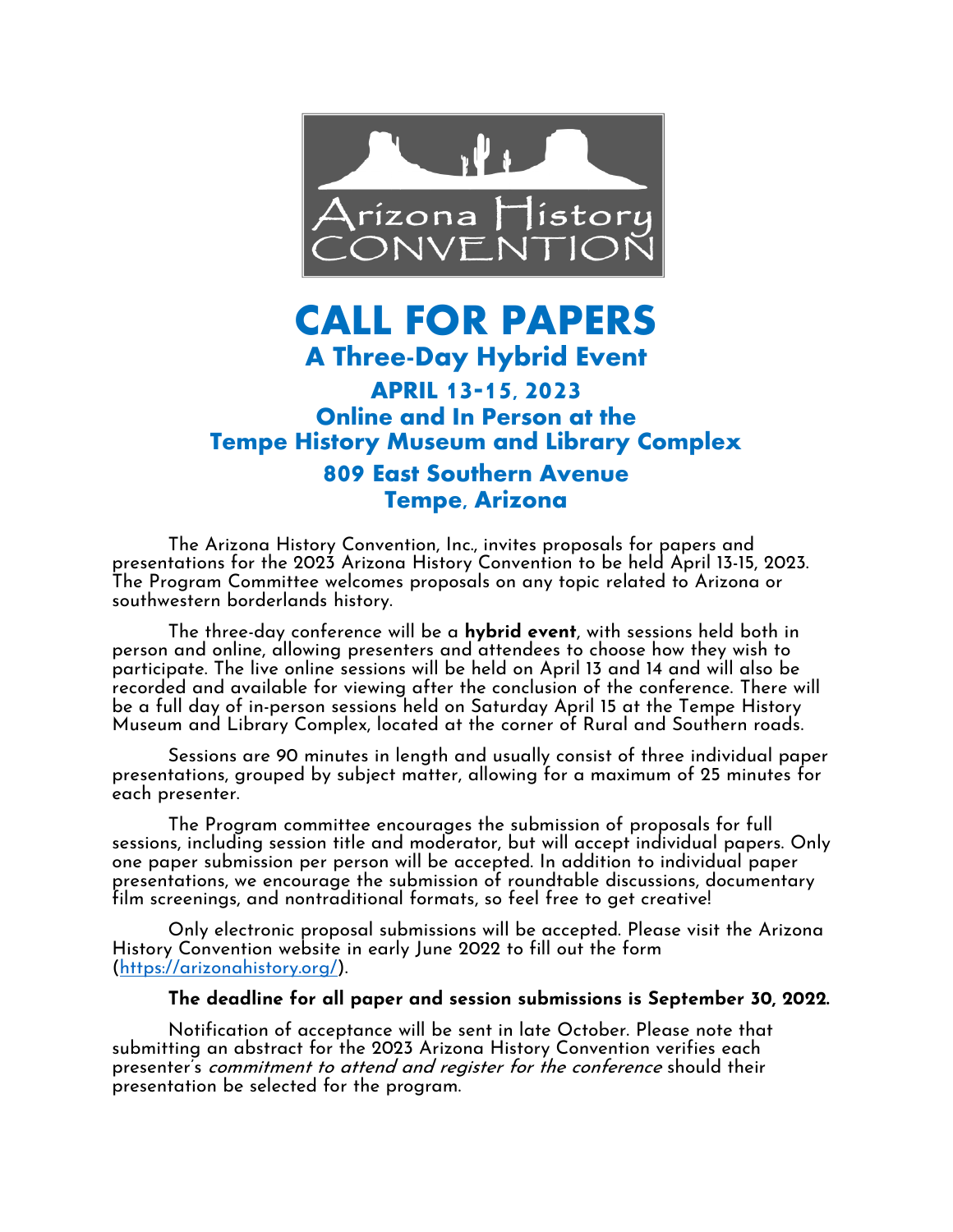

# **CALL FOR PAPERS A Three-Day Hybrid Event**

# **APRIL 13-15, 2023 Online and In Person at the Tempe History Museum and Library Complex 809 East Southern Avenue Tempe, Arizona**

The Arizona History Convention, Inc., invites proposals for papers and presentations for the 2023 Arizona History Convention to be held April 13-15, 2023. The Program Committee welcomes proposals on any topic related to Arizona or southwestern borderlands history.

The three-day conference will be a **hybrid event**, with sessions held both in person and online, allowing presenters and attendees to choose how they wish to participate. The live online sessions will be held on April 13 and 14 and will also be recorded and available for viewing after the conclusion of the conference. There will be a full day of in-person sessions held on Saturday April 15 at the Tempe History Museum and Library Complex, located at the corner of Rural and Southern roads.

Sessions are 90 minutes in length and usually consist of three individual paper presentations, grouped by subject matter, allowing for a maximum of 25 minutes for each presenter.

The Program committee encourages the submission of proposals for full sessions, including session title and moderator, but will accept individual papers. Only one paper submission per person will be accepted. In addition to individual paper presentations, we encourage the submission of roundtable discussions, documentary film screenings, and nontraditional formats, so feel free to get creative!

Only electronic proposal submissions will be accepted. Please visit the Arizona History Convention website in early June 2022 to fill out the form [\(https://arizonahistory.org/\)](https://arizonahistory.org/).

#### **The deadline for all paper and session submissions is September 30, 2022.**

Notification of acceptance will be sent in late October. Please note that submitting an abstract for the 2023 Arizona History Convention verifies each presenter's commitment to attend and register for the conference should their presentation be selected for the program.